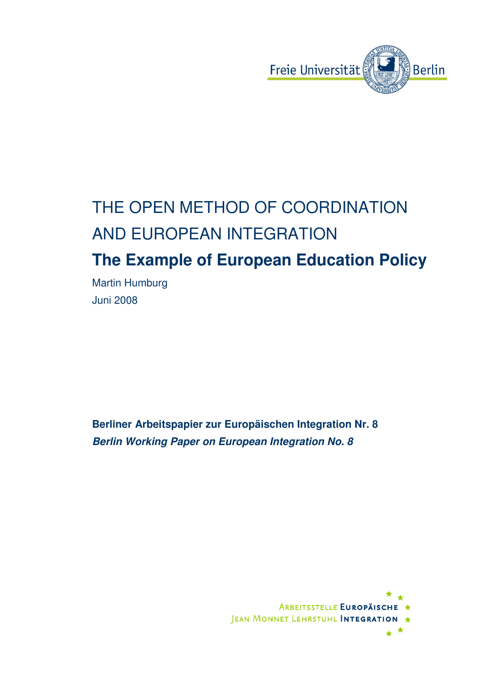

# THE OPEN METHOD OF COORDINATION AND EUROPEAN INTEGRATION **The Example of European Education Policy**

Martin Humburg Juni 2008

**Berliner Arbeitspapier zur Europäischen Integration Nr. 8 Berlin Working Paper on European Integration No. 8** 

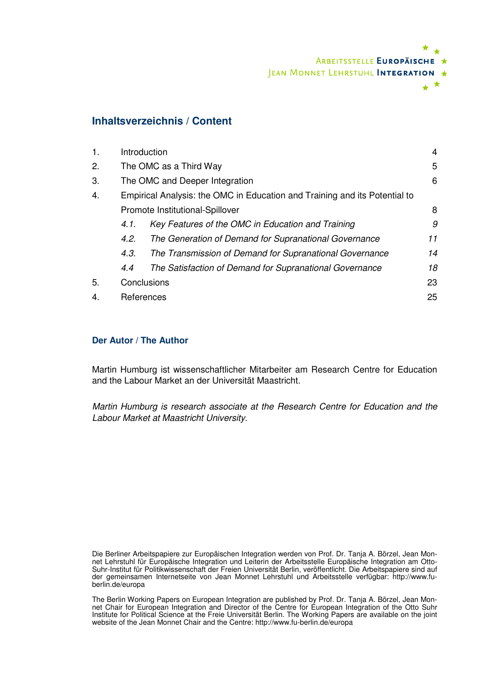

### **Inhaltsverzeichnis / Content**

| $\mathbf{1}$ . | Introduction                                                               |                                                         |    |  |
|----------------|----------------------------------------------------------------------------|---------------------------------------------------------|----|--|
| 2.             | The OMC as a Third Way                                                     |                                                         |    |  |
| 3.             | The OMC and Deeper Integration                                             |                                                         |    |  |
| 4.             | Empirical Analysis: the OMC in Education and Training and its Potential to |                                                         |    |  |
|                | Promote Institutional-Spillover                                            |                                                         |    |  |
|                | 4.1.                                                                       | Key Features of the OMC in Education and Training       | 9  |  |
|                | 4.2.                                                                       | The Generation of Demand for Supranational Governance   | 11 |  |
|                | 4.3.                                                                       | The Transmission of Demand for Supranational Governance | 14 |  |
|                | 4.4                                                                        | The Satisfaction of Demand for Supranational Governance | 18 |  |
| 5.             | Conclusions                                                                |                                                         | 23 |  |
| 4.             | References                                                                 |                                                         |    |  |
|                |                                                                            |                                                         |    |  |

#### **Der Autor / The Author**

Martin Humburg ist wissenschaftlicher Mitarbeiter am Research Centre for Education and the Labour Market an der Universität Maastricht.

Martin Humburg is research associate at the Research Centre for Education and the Labour Market at Maastricht University.

Die Berliner Arbeitspapiere zur Europäischen Integration werden von Prof. Dr. Tanja A. Börzel, Jean Monnet Lehrstuhl für Europäische Integration und Leiterin der Arbeitsstelle Europäische Integration am Otto-Suhr-Institut für Politikwissenschaft der Freien Universität Berlin, veröffentlicht. Die Arbeitspapiere sind auf der gemeinsamen Internetseite von Jean Monnet Lehrstuhl und Arbeitsstelle verfügbar: http://www.fuberlin.de/europa

The Berlin Working Papers on European Integration are published by Prof. Dr. Tanja A. Börzel, Jean Monnet Chair for European Integration and Director of the Centre for European Integration of the Otto Suhr Institute for Political Science at the Freie Universität Berlin. The Working Papers are available on the joint website of the Jean Monnet Chair and the Centre: http://www.fu-berlin.de/europa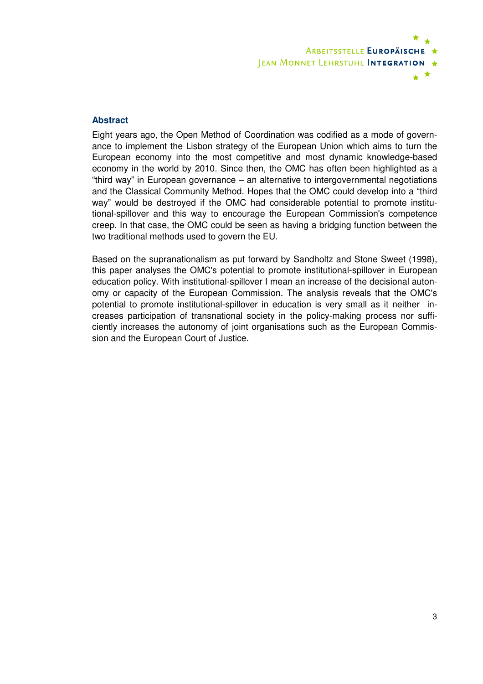

#### **Abstract**

Eight years ago, the Open Method of Coordination was codified as a mode of governance to implement the Lisbon strategy of the European Union which aims to turn the European economy into the most competitive and most dynamic knowledge-based economy in the world by 2010. Since then, the OMC has often been highlighted as a "third way" in European governance – an alternative to intergovernmental negotiations and the Classical Community Method. Hopes that the OMC could develop into a "third way" would be destroyed if the OMC had considerable potential to promote institutional-spillover and this way to encourage the European Commission's competence creep. In that case, the OMC could be seen as having a bridging function between the two traditional methods used to govern the EU.

Based on the supranationalism as put forward by Sandholtz and Stone Sweet (1998), this paper analyses the OMC's potential to promote institutional-spillover in European education policy. With institutional-spillover I mean an increase of the decisional autonomy or capacity of the European Commission. The analysis reveals that the OMC's potential to promote institutional-spillover in education is very small as it neither increases participation of transnational society in the policy-making process nor sufficiently increases the autonomy of joint organisations such as the European Commission and the European Court of Justice.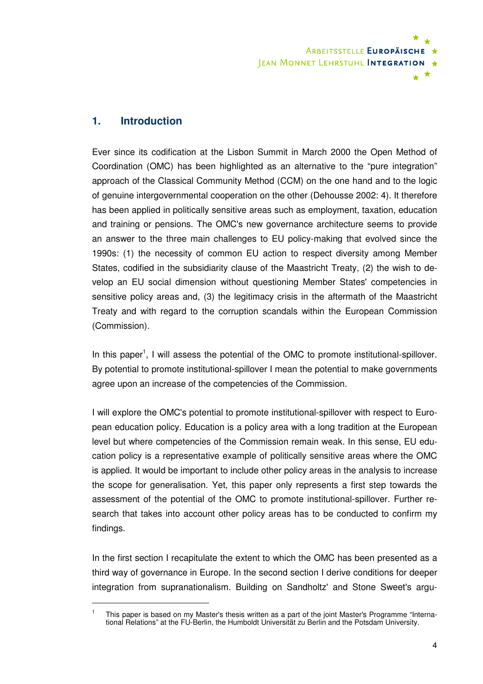

### **1. Introduction**

 $\overline{a}$ 

Ever since its codification at the Lisbon Summit in March 2000 the Open Method of Coordination (OMC) has been highlighted as an alternative to the "pure integration" approach of the Classical Community Method (CCM) on the one hand and to the logic of genuine intergovernmental cooperation on the other (Dehousse 2002: 4). It therefore has been applied in politically sensitive areas such as employment, taxation, education and training or pensions. The OMC's new governance architecture seems to provide an answer to the three main challenges to EU policy-making that evolved since the 1990s: (1) the necessity of common EU action to respect diversity among Member States, codified in the subsidiarity clause of the Maastricht Treaty, (2) the wish to develop an EU social dimension without questioning Member States' competencies in sensitive policy areas and, (3) the legitimacy crisis in the aftermath of the Maastricht Treaty and with regard to the corruption scandals within the European Commission (Commission).

In this paper<sup>1</sup>, I will assess the potential of the OMC to promote institutional-spillover. By potential to promote institutional-spillover I mean the potential to make governments agree upon an increase of the competencies of the Commission.

I will explore the OMC's potential to promote institutional-spillover with respect to European education policy. Education is a policy area with a long tradition at the European level but where competencies of the Commission remain weak. In this sense, EU education policy is a representative example of politically sensitive areas where the OMC is applied. It would be important to include other policy areas in the analysis to increase the scope for generalisation. Yet, this paper only represents a first step towards the assessment of the potential of the OMC to promote institutional-spillover. Further research that takes into account other policy areas has to be conducted to confirm my findings.

In the first section I recapitulate the extent to which the OMC has been presented as a third way of governance in Europe. In the second section I derive conditions for deeper integration from supranationalism. Building on Sandholtz' and Stone Sweet's argu-

<sup>1</sup> This paper is based on my Master's thesis written as a part of the joint Master's Programme "International Relations" at the FU-Berlin, the Humboldt Universität zu Berlin and the Potsdam University.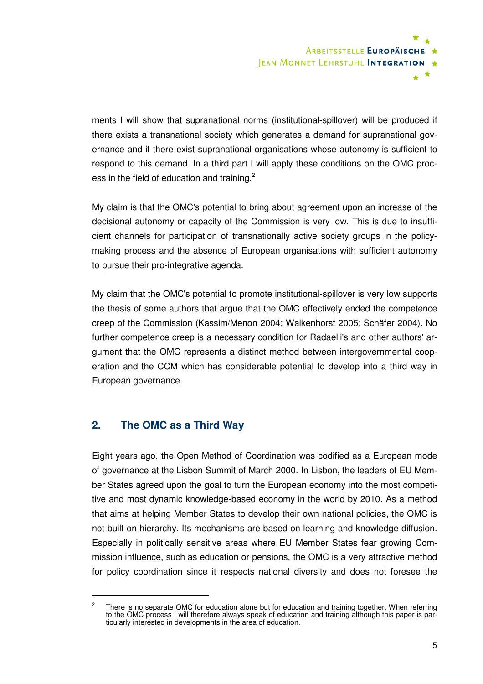

ments I will show that supranational norms (institutional-spillover) will be produced if there exists a transnational society which generates a demand for supranational governance and if there exist supranational organisations whose autonomy is sufficient to respond to this demand. In a third part I will apply these conditions on the OMC process in the field of education and training.<sup>2</sup>

My claim is that the OMC's potential to bring about agreement upon an increase of the decisional autonomy or capacity of the Commission is very low. This is due to insufficient channels for participation of transnationally active society groups in the policymaking process and the absence of European organisations with sufficient autonomy to pursue their pro-integrative agenda.

My claim that the OMC's potential to promote institutional-spillover is very low supports the thesis of some authors that argue that the OMC effectively ended the competence creep of the Commission (Kassim/Menon 2004; Walkenhorst 2005; Schäfer 2004). No further competence creep is a necessary condition for Radaelli's and other authors' argument that the OMC represents a distinct method between intergovernmental cooperation and the CCM which has considerable potential to develop into a third way in European governance.

#### **2. The OMC as a Third Way**

 $\overline{a}$ 

Eight years ago, the Open Method of Coordination was codified as a European mode of governance at the Lisbon Summit of March 2000. In Lisbon, the leaders of EU Member States agreed upon the goal to turn the European economy into the most competitive and most dynamic knowledge-based economy in the world by 2010. As a method that aims at helping Member States to develop their own national policies, the OMC is not built on hierarchy. Its mechanisms are based on learning and knowledge diffusion. Especially in politically sensitive areas where EU Member States fear growing Commission influence, such as education or pensions, the OMC is a very attractive method for policy coordination since it respects national diversity and does not foresee the

<sup>2</sup> There is no separate OMC for education alone but for education and training together. When referring to the OMC process I will therefore always speak of education and training although this paper is particularly interested in developments in the area of education.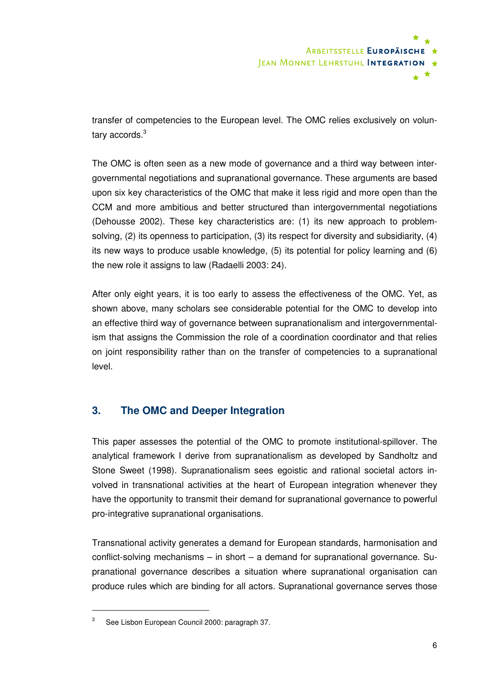

transfer of competencies to the European level. The OMC relies exclusively on voluntary accords.<sup>3</sup>

The OMC is often seen as a new mode of governance and a third way between intergovernmental negotiations and supranational governance. These arguments are based upon six key characteristics of the OMC that make it less rigid and more open than the CCM and more ambitious and better structured than intergovernmental negotiations (Dehousse 2002). These key characteristics are: (1) its new approach to problemsolving, (2) its openness to participation, (3) its respect for diversity and subsidiarity, (4) its new ways to produce usable knowledge, (5) its potential for policy learning and (6) the new role it assigns to law (Radaelli 2003: 24).

After only eight years, it is too early to assess the effectiveness of the OMC. Yet, as shown above, many scholars see considerable potential for the OMC to develop into an effective third way of governance between supranationalism and intergovernmentalism that assigns the Commission the role of a coordination coordinator and that relies on joint responsibility rather than on the transfer of competencies to a supranational level.

## **3. The OMC and Deeper Integration**

This paper assesses the potential of the OMC to promote institutional-spillover. The analytical framework I derive from supranationalism as developed by Sandholtz and Stone Sweet (1998). Supranationalism sees egoistic and rational societal actors involved in transnational activities at the heart of European integration whenever they have the opportunity to transmit their demand for supranational governance to powerful pro-integrative supranational organisations.

Transnational activity generates a demand for European standards, harmonisation and conflict-solving mechanisms – in short – a demand for supranational governance. Supranational governance describes a situation where supranational organisation can produce rules which are binding for all actors. Supranational governance serves those

<sup>3</sup> See Lisbon European Council 2000: paragraph 37.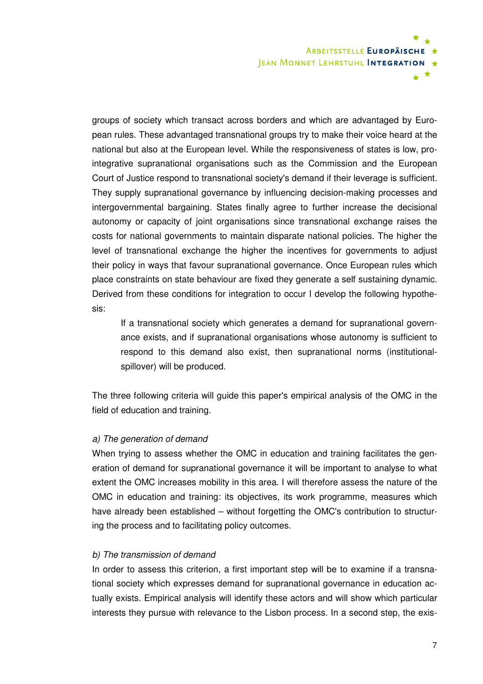

groups of society which transact across borders and which are advantaged by European rules. These advantaged transnational groups try to make their voice heard at the national but also at the European level. While the responsiveness of states is low, prointegrative supranational organisations such as the Commission and the European Court of Justice respond to transnational society's demand if their leverage is sufficient. They supply supranational governance by influencing decision-making processes and intergovernmental bargaining. States finally agree to further increase the decisional autonomy or capacity of joint organisations since transnational exchange raises the costs for national governments to maintain disparate national policies. The higher the level of transnational exchange the higher the incentives for governments to adjust their policy in ways that favour supranational governance. Once European rules which place constraints on state behaviour are fixed they generate a self sustaining dynamic. Derived from these conditions for integration to occur I develop the following hypothesis:

If a transnational society which generates a demand for supranational governance exists, and if supranational organisations whose autonomy is sufficient to respond to this demand also exist, then supranational norms (institutionalspillover) will be produced.

The three following criteria will guide this paper's empirical analysis of the OMC in the field of education and training.

#### a) The generation of demand

When trying to assess whether the OMC in education and training facilitates the generation of demand for supranational governance it will be important to analyse to what extent the OMC increases mobility in this area. I will therefore assess the nature of the OMC in education and training: its objectives, its work programme, measures which have already been established – without forgetting the OMC's contribution to structuring the process and to facilitating policy outcomes.

#### b) The transmission of demand

In order to assess this criterion, a first important step will be to examine if a transnational society which expresses demand for supranational governance in education actually exists. Empirical analysis will identify these actors and will show which particular interests they pursue with relevance to the Lisbon process. In a second step, the exis-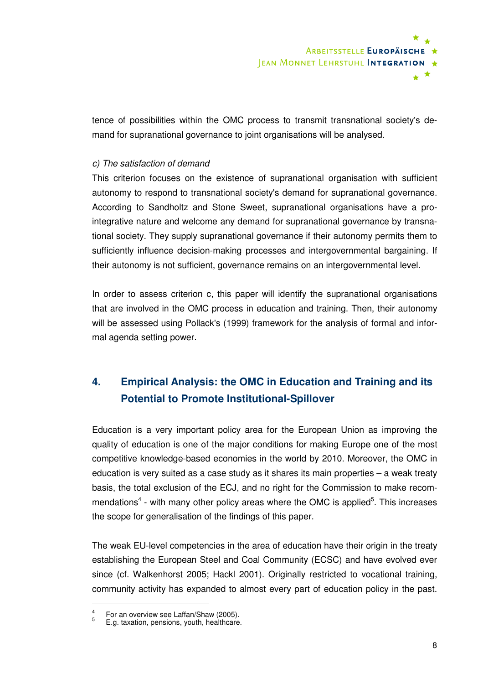

tence of possibilities within the OMC process to transmit transnational society's demand for supranational governance to joint organisations will be analysed.

#### c) The satisfaction of demand

This criterion focuses on the existence of supranational organisation with sufficient autonomy to respond to transnational society's demand for supranational governance. According to Sandholtz and Stone Sweet, supranational organisations have a prointegrative nature and welcome any demand for supranational governance by transnational society. They supply supranational governance if their autonomy permits them to sufficiently influence decision-making processes and intergovernmental bargaining. If their autonomy is not sufficient, governance remains on an intergovernmental level.

In order to assess criterion c, this paper will identify the supranational organisations that are involved in the OMC process in education and training. Then, their autonomy will be assessed using Pollack's (1999) framework for the analysis of formal and informal agenda setting power.

## **4. Empirical Analysis: the OMC in Education and Training and its Potential to Promote Institutional-Spillover**

Education is a very important policy area for the European Union as improving the quality of education is one of the major conditions for making Europe one of the most competitive knowledge-based economies in the world by 2010. Moreover, the OMC in education is very suited as a case study as it shares its main properties – a weak treaty basis, the total exclusion of the ECJ, and no right for the Commission to make recommendations<sup>4</sup> - with many other policy areas where the OMC is applied<sup>5</sup>. This increases the scope for generalisation of the findings of this paper.

The weak EU-level competencies in the area of education have their origin in the treaty establishing the European Steel and Coal Community (ECSC) and have evolved ever since (cf. Walkenhorst 2005; Hackl 2001). Originally restricted to vocational training, community activity has expanded to almost every part of education policy in the past.

<sup>4</sup> For an overview see Laffan/Shaw (2005).

<sup>5</sup> E.g. taxation, pensions, youth, healthcare.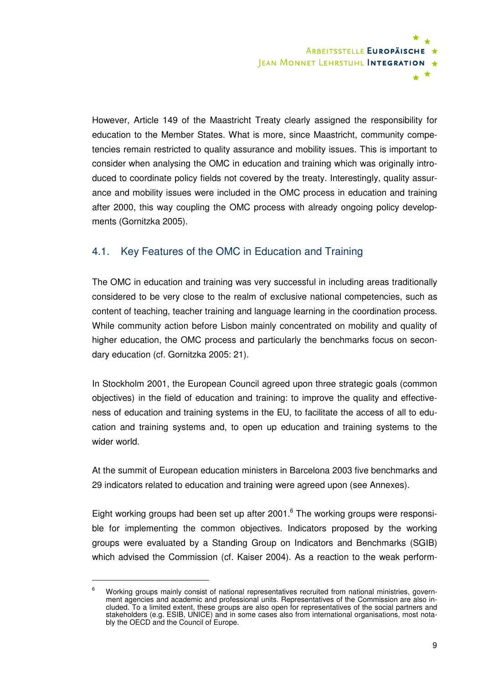

However, Article 149 of the Maastricht Treaty clearly assigned the responsibility for education to the Member States. What is more, since Maastricht, community competencies remain restricted to quality assurance and mobility issues. This is important to consider when analysing the OMC in education and training which was originally introduced to coordinate policy fields not covered by the treaty. Interestingly, quality assurance and mobility issues were included in the OMC process in education and training after 2000, this way coupling the OMC process with already ongoing policy developments (Gornitzka 2005).

## 4.1. Key Features of the OMC in Education and Training

The OMC in education and training was very successful in including areas traditionally considered to be very close to the realm of exclusive national competencies, such as content of teaching, teacher training and language learning in the coordination process. While community action before Lisbon mainly concentrated on mobility and quality of higher education, the OMC process and particularly the benchmarks focus on secondary education (cf. Gornitzka 2005: 21).

In Stockholm 2001, the European Council agreed upon three strategic goals (common objectives) in the field of education and training: to improve the quality and effectiveness of education and training systems in the EU, to facilitate the access of all to education and training systems and, to open up education and training systems to the wider world.

At the summit of European education ministers in Barcelona 2003 five benchmarks and 29 indicators related to education and training were agreed upon (see Annexes).

Eight working groups had been set up after 2001.<sup>6</sup> The working groups were responsible for implementing the common objectives. Indicators proposed by the working groups were evaluated by a Standing Group on Indicators and Benchmarks (SGIB) which advised the Commission (cf. Kaiser 2004). As a reaction to the weak perform-

<sup>6</sup> Working groups mainly consist of national representatives recruited from national ministries, government agencies and academic and professional units. Representatives of the Commission are also included. To a limited extent, these groups are also open for representatives of the social partners and stakeholders (e.g. ESIB, UNICE) and in some cases also from international organisations, most notably the OECD and the Council of Europe.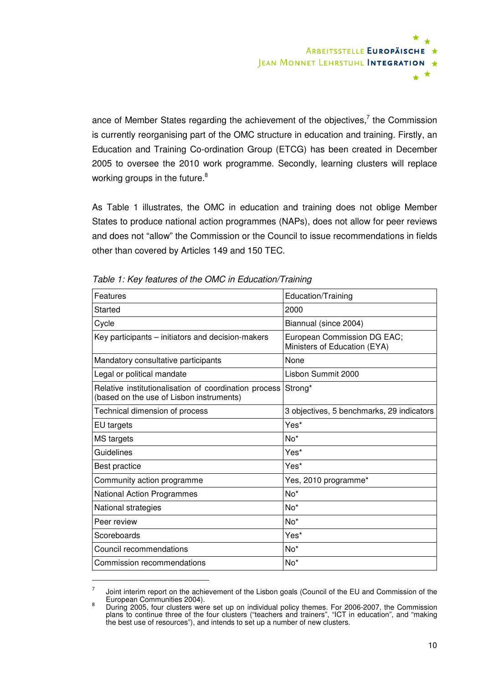

ance of Member States regarding the achievement of the objectives,<sup>7</sup> the Commission is currently reorganising part of the OMC structure in education and training. Firstly, an Education and Training Co-ordination Group (ETCG) has been created in December 2005 to oversee the 2010 work programme. Secondly, learning clusters will replace working groups in the future.<sup>8</sup>

As Table 1 illustrates, the OMC in education and training does not oblige Member States to produce national action programmes (NAPs), does not allow for peer reviews and does not "allow" the Commission or the Council to issue recommendations in fields other than covered by Articles 149 and 150 TEC.

| Education/Training                                               |  |
|------------------------------------------------------------------|--|
| 2000                                                             |  |
| Biannual (since 2004)                                            |  |
| European Commission DG EAC;<br>Ministers of Education (EYA)      |  |
| None                                                             |  |
| Lisbon Summit 2000                                               |  |
| Relative institutionalisation of coordination process<br>Strong* |  |
| 3 objectives, 5 benchmarks, 29 indicators                        |  |
| Yes*                                                             |  |
| No <sup>*</sup>                                                  |  |
| Yes*                                                             |  |
| Yes*                                                             |  |
| Yes, 2010 programme*                                             |  |
| $No*$                                                            |  |
| $No*$                                                            |  |
| No*                                                              |  |
| Yes*                                                             |  |
| No*                                                              |  |
| $No*$                                                            |  |
|                                                                  |  |

Table 1: Key features of the OMC in Education/Training

<sup>7</sup> Joint interim report on the achievement of the Lisbon goals (Council of the EU and Commission of the European Communities 2004).

<sup>8</sup> During 2005, four clusters were set up on individual policy themes. For 2006-2007, the Commission plans to continue three of the four clusters ("teachers and trainers", "ICT in education", and "making the best use of resources"), and intends to set up a number of new clusters.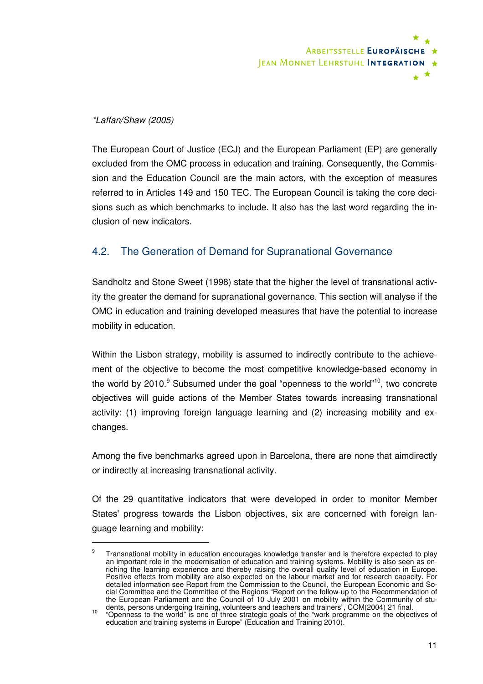

#### \*Laffan/Shaw (2005)

 $\overline{a}$ 

The European Court of Justice (ECJ) and the European Parliament (EP) are generally excluded from the OMC process in education and training. Consequently, the Commission and the Education Council are the main actors, with the exception of measures referred to in Articles 149 and 150 TEC. The European Council is taking the core decisions such as which benchmarks to include. It also has the last word regarding the inclusion of new indicators.

## 4.2. The Generation of Demand for Supranational Governance

Sandholtz and Stone Sweet (1998) state that the higher the level of transnational activity the greater the demand for supranational governance. This section will analyse if the OMC in education and training developed measures that have the potential to increase mobility in education.

Within the Lisbon strategy, mobility is assumed to indirectly contribute to the achievement of the objective to become the most competitive knowledge-based economy in the world by 2010.<sup>9</sup> Subsumed under the goal "openness to the world"<sup>10</sup>, two concrete objectives will guide actions of the Member States towards increasing transnational activity: (1) improving foreign language learning and (2) increasing mobility and exchanges.

Among the five benchmarks agreed upon in Barcelona, there are none that aimdirectly or indirectly at increasing transnational activity.

Of the 29 quantitative indicators that were developed in order to monitor Member States' progress towards the Lisbon objectives, six are concerned with foreign language learning and mobility:

<sup>9</sup> Transnational mobility in education encourages knowledge transfer and is therefore expected to play an important role in the modernisation of education and training systems. Mobility is also seen as enriching the learning experience and thereby raising the overall quality level of education in Europe. Positive effects from mobility are also expected on the labour market and for research capacity. For detailed information see Report from the Commission to the Council, the European Economic and Social Committee and the Committee of the Regions "Report on the follow-up to the Recommendation of the European Parliament and the Council of 10 July 2001 on mobility within the Community of stu-

dents, persons undergoing training, volunteers and teachers and trainers", COM(2004) 21 final.<br><sup>10</sup> "Openness to the world" is one of three strategic goals of the "work programme on the objectives of education and training systems in Europe" (Education and Training 2010).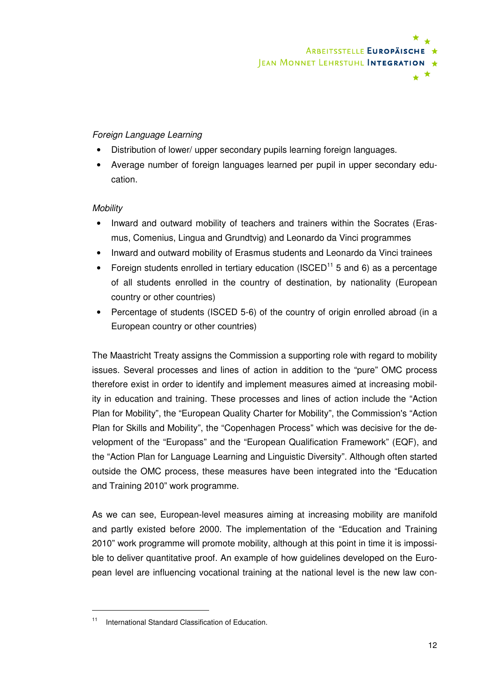

#### Foreign Language Learning

- Distribution of lower/ upper secondary pupils learning foreign languages.
- Average number of foreign languages learned per pupil in upper secondary education.

#### **Mobility**

- Inward and outward mobility of teachers and trainers within the Socrates (Erasmus, Comenius, Lingua and Grundtvig) and Leonardo da Vinci programmes
- Inward and outward mobility of Erasmus students and Leonardo da Vinci trainees
- Foreign students enrolled in tertiary education (ISCED<sup>11</sup> 5 and 6) as a percentage of all students enrolled in the country of destination, by nationality (European country or other countries)
- Percentage of students (ISCED 5-6) of the country of origin enrolled abroad (in a European country or other countries)

The Maastricht Treaty assigns the Commission a supporting role with regard to mobility issues. Several processes and lines of action in addition to the "pure" OMC process therefore exist in order to identify and implement measures aimed at increasing mobility in education and training. These processes and lines of action include the "Action Plan for Mobility", the "European Quality Charter for Mobility", the Commission's "Action Plan for Skills and Mobility", the "Copenhagen Process" which was decisive for the development of the "Europass" and the "European Qualification Framework" (EQF), and the "Action Plan for Language Learning and Linguistic Diversity". Although often started outside the OMC process, these measures have been integrated into the "Education and Training 2010" work programme.

As we can see, European-level measures aiming at increasing mobility are manifold and partly existed before 2000. The implementation of the "Education and Training 2010" work programme will promote mobility, although at this point in time it is impossible to deliver quantitative proof. An example of how guidelines developed on the European level are influencing vocational training at the national level is the new law con-

International Standard Classification of Education.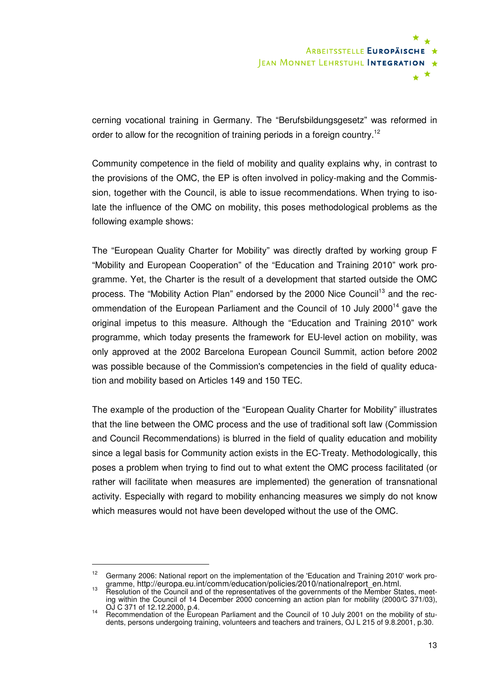

cerning vocational training in Germany. The "Berufsbildungsgesetz" was reformed in order to allow for the recognition of training periods in a foreign country.<sup>12</sup>

Community competence in the field of mobility and quality explains why, in contrast to the provisions of the OMC, the EP is often involved in policy-making and the Commission, together with the Council, is able to issue recommendations. When trying to isolate the influence of the OMC on mobility, this poses methodological problems as the following example shows:

The "European Quality Charter for Mobility" was directly drafted by working group F "Mobility and European Cooperation" of the "Education and Training 2010" work programme. Yet, the Charter is the result of a development that started outside the OMC process. The "Mobility Action Plan" endorsed by the 2000 Nice Council<sup>13</sup> and the recommendation of the European Parliament and the Council of 10 July 2000<sup>14</sup> gave the original impetus to this measure. Although the "Education and Training 2010" work programme, which today presents the framework for EU-level action on mobility, was only approved at the 2002 Barcelona European Council Summit, action before 2002 was possible because of the Commission's competencies in the field of quality education and mobility based on Articles 149 and 150 TEC.

The example of the production of the "European Quality Charter for Mobility" illustrates that the line between the OMC process and the use of traditional soft law (Commission and Council Recommendations) is blurred in the field of quality education and mobility since a legal basis for Community action exists in the EC-Treaty. Methodologically, this poses a problem when trying to find out to what extent the OMC process facilitated (or rather will facilitate when measures are implemented) the generation of transnational activity. Especially with regard to mobility enhancing measures we simply do not know which measures would not have been developed without the use of the OMC.

<sup>&</sup>lt;sup>12</sup> Germany 2006: National report on the implementation of the 'Education and Training 2010' work programme, http://europa.eu.int/comm/education/policies/2010/nationalreport\_en.html.

<sup>13</sup> Brahmle, http://caropa.ca.mi/comm/caacation/policies/2010/hational/cport\_ch.html.<br>Resolution of the Council and of the representatives of the governments of the Member States, meeting within the Council of 14 December 2000 concerning an action plan for mobility (2000/C 371/03),

OJ C 371 of 12.12.2000, p.4. <sup>14</sup> Recommendation of the European Parliament and the Council of 10 July 2001 on the mobility of students, persons undergoing training, volunteers and teachers and trainers, OJ L 215 of 9.8.2001, p.30.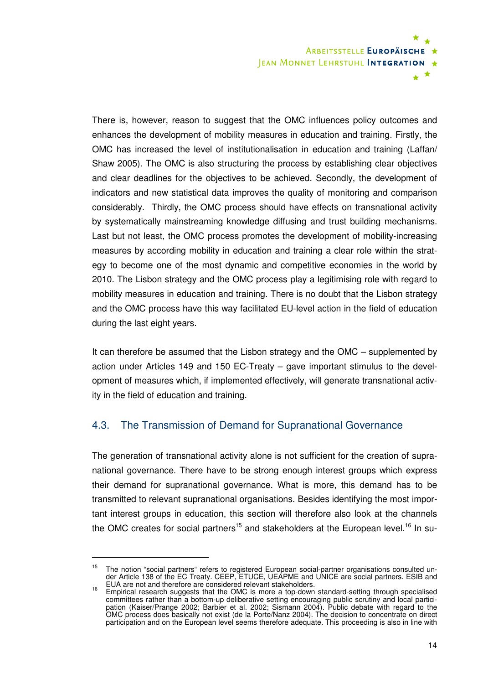

There is, however, reason to suggest that the OMC influences policy outcomes and enhances the development of mobility measures in education and training. Firstly, the OMC has increased the level of institutionalisation in education and training (Laffan/ Shaw 2005). The OMC is also structuring the process by establishing clear objectives and clear deadlines for the objectives to be achieved. Secondly, the development of indicators and new statistical data improves the quality of monitoring and comparison considerably. Thirdly, the OMC process should have effects on transnational activity by systematically mainstreaming knowledge diffusing and trust building mechanisms. Last but not least, the OMC process promotes the development of mobility-increasing measures by according mobility in education and training a clear role within the strategy to become one of the most dynamic and competitive economies in the world by 2010. The Lisbon strategy and the OMC process play a legitimising role with regard to mobility measures in education and training. There is no doubt that the Lisbon strategy and the OMC process have this way facilitated EU-level action in the field of education during the last eight years.

It can therefore be assumed that the Lisbon strategy and the OMC – supplemented by action under Articles 149 and 150 EC-Treaty – gave important stimulus to the development of measures which, if implemented effectively, will generate transnational activity in the field of education and training.

## 4.3. The Transmission of Demand for Supranational Governance

The generation of transnational activity alone is not sufficient for the creation of supranational governance. There have to be strong enough interest groups which express their demand for supranational governance. What is more, this demand has to be transmitted to relevant supranational organisations. Besides identifying the most important interest groups in education, this section will therefore also look at the channels the OMC creates for social partners<sup>15</sup> and stakeholders at the European level.<sup>16</sup> In su-

 $\ddot{\phantom{a}}$ 

<sup>&</sup>lt;sup>15</sup> The notion "social partners" refers to registered European social-partner organisations consulted under Article 138 of the EC Treaty. CEEP, ETUCE, UEAPME and UNICE are social partners. ESIB and

EUA are not and therefore are considered relevant stakeholders. <sup>16</sup> Empirical research suggests that the OMC is more a top-down standard-setting through specialised committees rather than a bottom-up deliberative setting encouraging public scrutiny and local participation (Kaiser/Prange 2002; Barbier et al. 2002; Sismann 2004). Public debate with regard to the OMC process does basically not exist (de la Porte/Nanz 2004). The decision to concentrate on direct participation and on the European level seems therefore adequate. This proceeding is also in line with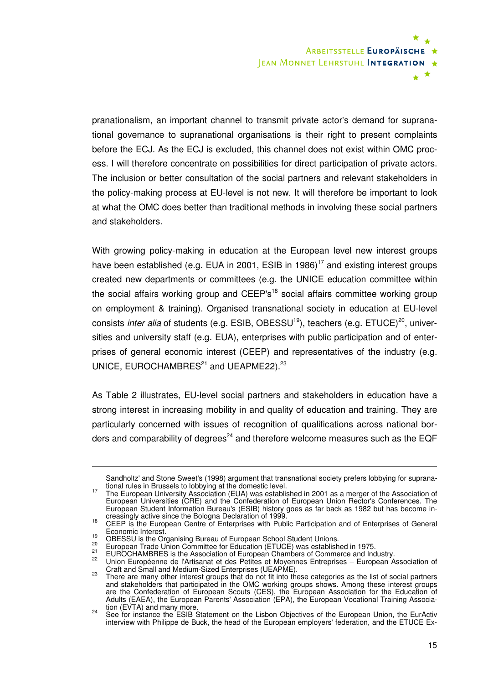

pranationalism, an important channel to transmit private actor's demand for supranational governance to supranational organisations is their right to present complaints before the ECJ. As the ECJ is excluded, this channel does not exist within OMC process. I will therefore concentrate on possibilities for direct participation of private actors. The inclusion or better consultation of the social partners and relevant stakeholders in the policy-making process at EU-level is not new. It will therefore be important to look at what the OMC does better than traditional methods in involving these social partners and stakeholders.

With growing policy-making in education at the European level new interest groups have been established (e.g. EUA in 2001, ESIB in 1986)<sup>17</sup> and existing interest groups created new departments or committees (e.g. the UNICE education committee within the social affairs working group and  $CEEP's<sup>18</sup>$  social affairs committee working group on employment & training). Organised transnational society in education at EU-level consists *inter alia* of students (e.g. ESIB, OBESSU<sup>19</sup>), teachers (e.g. ETUCE)<sup>20</sup>, universities and university staff (e.g. EUA), enterprises with public participation and of enterprises of general economic interest (CEEP) and representatives of the industry (e.g. UNICE, EUROCHAMBRES $^{21}$  and UEAPME22).<sup>23</sup>

As Table 2 illustrates, EU-level social partners and stakeholders in education have a strong interest in increasing mobility in and quality of education and training. They are particularly concerned with issues of recognition of qualifications across national borders and comparability of degrees<sup>24</sup> and therefore welcome measures such as the EQF

 $\ddot{\phantom{a}}$ 

Sandholtz' and Stone Sweet's (1998) argument that transnational society prefers lobbying for supranational rules in Brussels to lobbying at the domestic level.

<sup>&</sup>lt;sup>17</sup> The European University Association (EUA) was established in 2001 as a merger of the Association of European Universities (CRE) and the Confederation of European Union Rector's Conferences. The European Student Information Bureau's (ESIB) history goes as far back as 1982 but has become in-

creasingly active since the Bologna Declaration of 1999. <sup>18</sup> CEEP is the European Centre of Enterprises with Public Participation and of Enterprises of General Economic Interest.

<sup>&</sup>lt;sup>19</sup> OBESSU is the Organising Bureau of European School Student Unions.

<sup>&</sup>lt;sup>20</sup> European Trade Union Committee for Education (ETUCE) was established in 1975.

<sup>21</sup> EUROCHAMBRES is the Association of European Chambers of Commerce and Industry.

 $22$  Union Européenne de l'Artisanat et des Petites et Moyennes Entreprises – European Association of

<sup>23</sup> Craft and Small and Medium-Sized Enterprises (UEAPME).<br>23 There are many other interest groups that do not fit into these categories as the list of social partners and stakeholders that participated in the OMC working groups shows. Among these interest groups are the Confederation of European Scouts (CES), the European Association for the Education of Adults (EAEA), the European Parents' Association (EPA), the European Vocational Training Associa-

<sup>&</sup>lt;sup>24</sup> See for instance the ESIB Statement on the Lisbon Objectives of the European Union, the EurActiv<br><sup>24</sup> See for instance the ESIB Statement on the Lisbon Objectives of the European Union, the EurActiv interview with Philippe de Buck, the head of the European employers' federation, and the ETUCE Ex-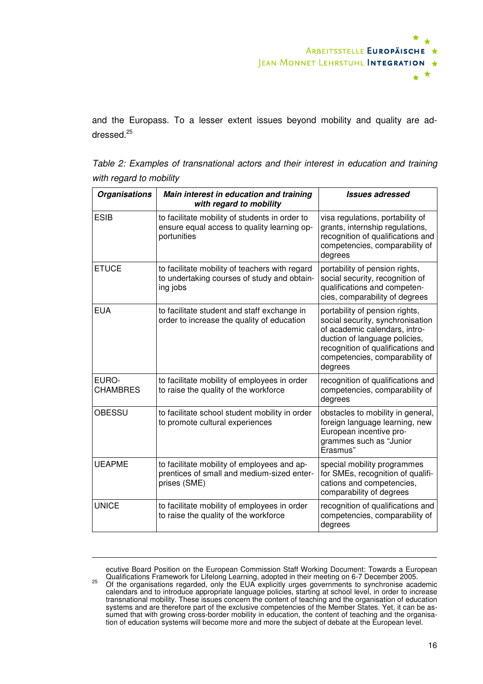

and the Europass. To a lesser extent issues beyond mobility and quality are addressed.<sup>25</sup>

Table 2: Examples of transnational actors and their interest in education and training with regard to mobility

| <b>Organisations</b> | Main interest in education and training                                                                      | <b>Issues adressed</b>                                                                                                                                                                                                 |
|----------------------|--------------------------------------------------------------------------------------------------------------|------------------------------------------------------------------------------------------------------------------------------------------------------------------------------------------------------------------------|
|                      | with regard to mobility                                                                                      |                                                                                                                                                                                                                        |
| <b>ESIB</b>          | to facilitate mobility of students in order to<br>ensure equal access to quality learning op-<br>portunities | visa regulations, portability of<br>grants, internship regulations,<br>recognition of qualifications and<br>competencies, comparability of<br>degrees                                                                  |
| <b>ETUCE</b>         | to facilitate mobility of teachers with regard<br>to undertaking courses of study and obtain-<br>ing jobs    | portability of pension rights,<br>social security, recognition of<br>qualifications and competen-<br>cies, comparability of degrees                                                                                    |
| <b>EUA</b>           | to facilitate student and staff exchange in<br>order to increase the quality of education                    | portability of pension rights,<br>social security, synchronisation<br>of academic calendars, intro-<br>duction of language policies,<br>recognition of qualifications and<br>competencies, comparability of<br>degrees |
| EURO-<br>CHAMBRES    | to facilitate mobility of employees in order<br>to raise the quality of the workforce                        | recognition of qualifications and<br>competencies, comparability of<br>degrees                                                                                                                                         |
| OBESSU               | to facilitate school student mobility in order<br>to promote cultural experiences                            | obstacles to mobility in general,<br>foreign language learning, new<br>European incentive pro-<br>grammes such as "Junior<br>Erasmus"                                                                                  |
| <b>UEAPME</b>        | to facilitate mobility of employees and ap-<br>prentices of small and medium-sized enter-<br>prises (SME)    | special mobility programmes<br>for SMEs, recognition of qualifi-<br>cations and competencies,<br>comparability of degrees                                                                                              |
| <b>UNICE</b>         | to facilitate mobility of employees in order<br>to raise the quality of the workforce                        | recognition of qualifications and<br>competencies, comparability of<br>degrees                                                                                                                                         |

ecutive Board Position on the European Commission Staff Working Document: Towards a European

 $\ddot{\phantom{a}}$ 

<sup>25</sup> Qualifications Framework for Lifelong Learning, adopted in their meeting on 6-7 December 2005.<br><sup>25</sup> Of the organisations regarded, only the EUA explicitly urges governments to synchronise academic calendars and to introduce appropriate language policies, starting at school level, in order to increase transnational mobility. These issues concern the content of teaching and the organisation of education systems and are therefore part of the exclusive competencies of the Member States. Yet, it can be assumed that with growing cross-border mobility in education, the content of teaching and the organisation of education systems will become more and more the subject of debate at the European level.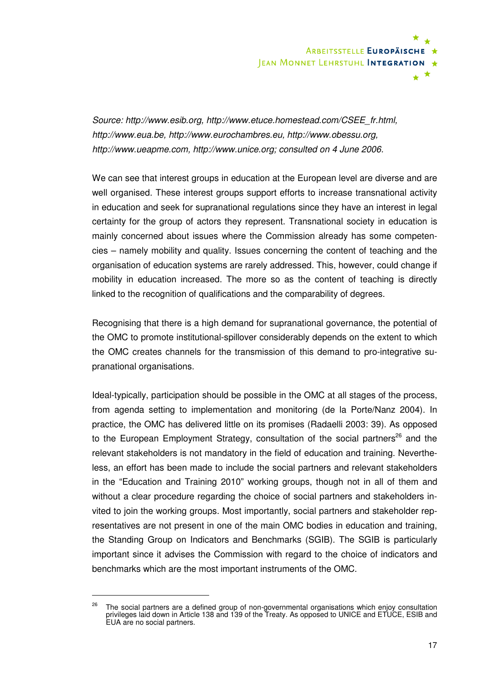

Source: http://www.esib.org, http://www.etuce.homestead.com/CSEE\_fr.html, http://www.eua.be, http://www.eurochambres.eu, http://www.obessu.org, http://www.ueapme.com, http://www.unice.org; consulted on 4 June 2006.

We can see that interest groups in education at the European level are diverse and are well organised. These interest groups support efforts to increase transnational activity in education and seek for supranational regulations since they have an interest in legal certainty for the group of actors they represent. Transnational society in education is mainly concerned about issues where the Commission already has some competencies – namely mobility and quality. Issues concerning the content of teaching and the organisation of education systems are rarely addressed. This, however, could change if mobility in education increased. The more so as the content of teaching is directly linked to the recognition of qualifications and the comparability of degrees.

Recognising that there is a high demand for supranational governance, the potential of the OMC to promote institutional-spillover considerably depends on the extent to which the OMC creates channels for the transmission of this demand to pro-integrative supranational organisations.

Ideal-typically, participation should be possible in the OMC at all stages of the process, from agenda setting to implementation and monitoring (de la Porte/Nanz 2004). In practice, the OMC has delivered little on its promises (Radaelli 2003: 39). As opposed to the European Employment Strategy, consultation of the social partners<sup>26</sup> and the relevant stakeholders is not mandatory in the field of education and training. Nevertheless, an effort has been made to include the social partners and relevant stakeholders in the "Education and Training 2010" working groups, though not in all of them and without a clear procedure regarding the choice of social partners and stakeholders invited to join the working groups. Most importantly, social partners and stakeholder representatives are not present in one of the main OMC bodies in education and training, the Standing Group on Indicators and Benchmarks (SGIB). The SGIB is particularly important since it advises the Commission with regard to the choice of indicators and benchmarks which are the most important instruments of the OMC.

<sup>&</sup>lt;sup>26</sup> The social partners are a defined group of non-governmental organisations which enjoy consultation privileges laid down in Article 138 and 139 of the Treaty. As opposed to UNICE and ETUCE, ESIB and EUA are no social partners.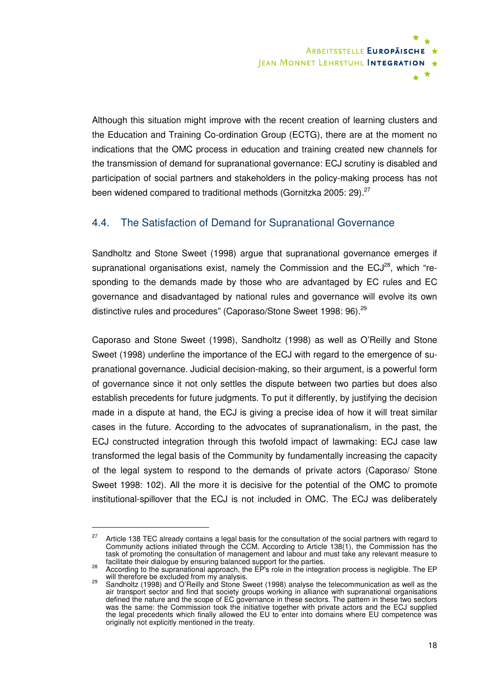

Although this situation might improve with the recent creation of learning clusters and the Education and Training Co-ordination Group (ECTG), there are at the moment no indications that the OMC process in education and training created new channels for the transmission of demand for supranational governance: ECJ scrutiny is disabled and participation of social partners and stakeholders in the policy-making process has not been widened compared to traditional methods (Gornitzka 2005: 29). $27$ 

## 4.4. The Satisfaction of Demand for Supranational Governance

Sandholtz and Stone Sweet (1998) argue that supranational governance emerges if supranational organisations exist, namely the Commission and the  $ECJ^{28}$ , which "responding to the demands made by those who are advantaged by EC rules and EC governance and disadvantaged by national rules and governance will evolve its own distinctive rules and procedures" (Caporaso/Stone Sweet 1998: 96).<sup>29</sup>

Caporaso and Stone Sweet (1998), Sandholtz (1998) as well as O'Reilly and Stone Sweet (1998) underline the importance of the ECJ with regard to the emergence of supranational governance. Judicial decision-making, so their argument, is a powerful form of governance since it not only settles the dispute between two parties but does also establish precedents for future judgments. To put it differently, by justifying the decision made in a dispute at hand, the ECJ is giving a precise idea of how it will treat similar cases in the future. According to the advocates of supranationalism, in the past, the ECJ constructed integration through this twofold impact of lawmaking: ECJ case law transformed the legal basis of the Community by fundamentally increasing the capacity of the legal system to respond to the demands of private actors (Caporaso/ Stone Sweet 1998: 102). All the more it is decisive for the potential of the OMC to promote institutional-spillover that the ECJ is not included in OMC. The ECJ was deliberately

 $27$  Article 138 TEC already contains a legal basis for the consultation of the social partners with regard to Community actions initiated through the CCM. According to Article 138(1), the Commission has the task of promoting the consultation of management and labour and must take any relevant measure to

facilitate their dialogue by ensuring balanced support for the parties. <sup>28</sup> According to the supranational approach, the EP's role in the integration process is negligible. The EP

<sup>&</sup>lt;sup>29</sup> will therefore be excluded from my analysis.<br><sup>29</sup> Sandholtz (1998) and O'Reilly and Stone Sweet (1998) analyse the telecommunication as well as the air transport sector and find that society groups working in alliance with supranational organisations defined the nature and the scope of EC governance in these sectors. The pattern in these two sectors was the same: the Commission took the initiative together with private actors and the ECJ supplied the legal precedents which finally allowed the EU to enter into domains where EU competence was originally not explicitly mentioned in the treaty.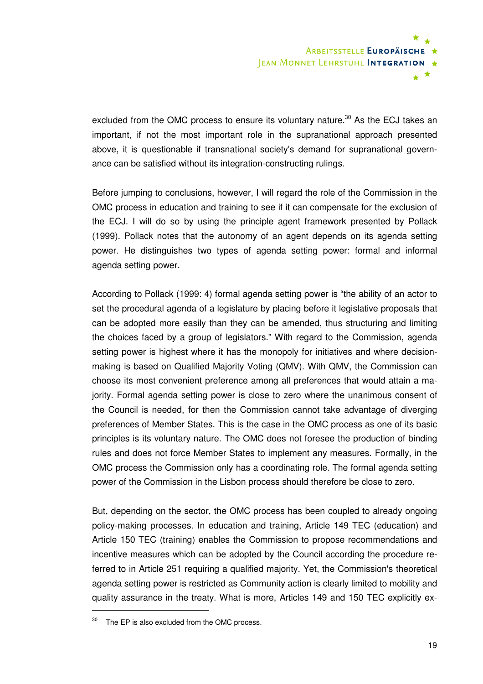

excluded from the OMC process to ensure its voluntary nature.<sup>30</sup> As the ECJ takes an important, if not the most important role in the supranational approach presented above, it is questionable if transnational society's demand for supranational governance can be satisfied without its integration-constructing rulings.

Before jumping to conclusions, however, I will regard the role of the Commission in the OMC process in education and training to see if it can compensate for the exclusion of the ECJ. I will do so by using the principle agent framework presented by Pollack (1999). Pollack notes that the autonomy of an agent depends on its agenda setting power. He distinguishes two types of agenda setting power: formal and informal agenda setting power.

According to Pollack (1999: 4) formal agenda setting power is "the ability of an actor to set the procedural agenda of a legislature by placing before it legislative proposals that can be adopted more easily than they can be amended, thus structuring and limiting the choices faced by a group of legislators." With regard to the Commission, agenda setting power is highest where it has the monopoly for initiatives and where decisionmaking is based on Qualified Majority Voting (QMV). With QMV, the Commission can choose its most convenient preference among all preferences that would attain a majority. Formal agenda setting power is close to zero where the unanimous consent of the Council is needed, for then the Commission cannot take advantage of diverging preferences of Member States. This is the case in the OMC process as one of its basic principles is its voluntary nature. The OMC does not foresee the production of binding rules and does not force Member States to implement any measures. Formally, in the OMC process the Commission only has a coordinating role. The formal agenda setting power of the Commission in the Lisbon process should therefore be close to zero.

But, depending on the sector, the OMC process has been coupled to already ongoing policy-making processes. In education and training, Article 149 TEC (education) and Article 150 TEC (training) enables the Commission to propose recommendations and incentive measures which can be adopted by the Council according the procedure referred to in Article 251 requiring a qualified majority. Yet, the Commission's theoretical agenda setting power is restricted as Community action is clearly limited to mobility and quality assurance in the treaty. What is more, Articles 149 and 150 TEC explicitly ex-

 $30$  The EP is also excluded from the OMC process.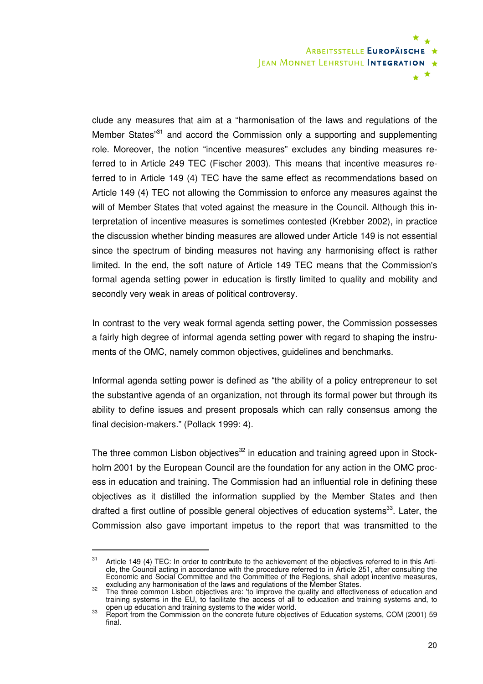

clude any measures that aim at a "harmonisation of the laws and regulations of the Member States<sup>31</sup> and accord the Commission only a supporting and supplementing role. Moreover, the notion "incentive measures" excludes any binding measures referred to in Article 249 TEC (Fischer 2003). This means that incentive measures referred to in Article 149 (4) TEC have the same effect as recommendations based on Article 149 (4) TEC not allowing the Commission to enforce any measures against the will of Member States that voted against the measure in the Council. Although this interpretation of incentive measures is sometimes contested (Krebber 2002), in practice the discussion whether binding measures are allowed under Article 149 is not essential since the spectrum of binding measures not having any harmonising effect is rather limited. In the end, the soft nature of Article 149 TEC means that the Commission's formal agenda setting power in education is firstly limited to quality and mobility and secondly very weak in areas of political controversy.

In contrast to the very weak formal agenda setting power, the Commission possesses a fairly high degree of informal agenda setting power with regard to shaping the instruments of the OMC, namely common objectives, guidelines and benchmarks.

Informal agenda setting power is defined as "the ability of a policy entrepreneur to set the substantive agenda of an organization, not through its formal power but through its ability to define issues and present proposals which can rally consensus among the final decision-makers." (Pollack 1999: 4).

The three common Lisbon objectives<sup>32</sup> in education and training agreed upon in Stockholm 2001 by the European Council are the foundation for any action in the OMC process in education and training. The Commission had an influential role in defining these objectives as it distilled the information supplied by the Member States and then drafted a first outline of possible general objectives of education systems<sup>33</sup>. Later, the Commission also gave important impetus to the report that was transmitted to the

<sup>&</sup>lt;sup>31</sup> Article 149 (4) TEC: In order to contribute to the achievement of the objectives referred to in this Article, the Council acting in accordance with the procedure referred to in Article 251, after consulting the Economic and Social Committee and the Committee of the Regions, shall adopt incentive measures,

excluding any harmonisation of the laws and regulations of the Member States.<br><sup>32</sup> The three common Lisbon objectives are: 'to improve the quality and effectiveness of education and training systems in the EU, to facilitate the access of all to education and training systems and, to

open up education and training systems to the wider world.<br><sup>33</sup> Report from the Commission on the concrete future objectives of Education systems, COM (2001) 59 final.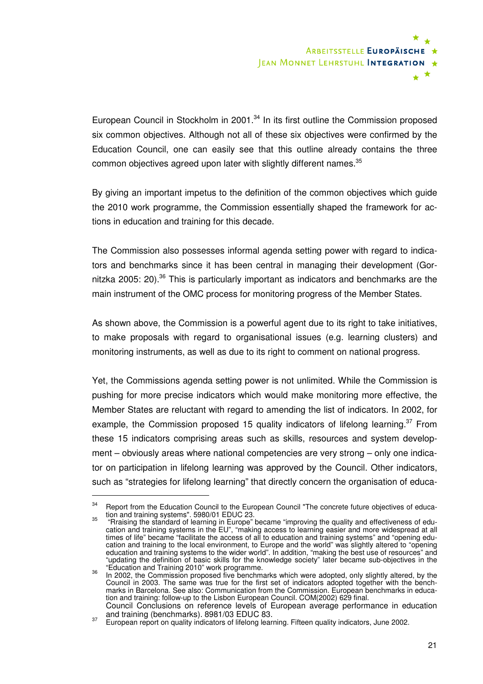

European Council in Stockholm in 2001. $34$  In its first outline the Commission proposed six common objectives. Although not all of these six objectives were confirmed by the Education Council, one can easily see that this outline already contains the three common objectives agreed upon later with slightly different names.<sup>35</sup>

By giving an important impetus to the definition of the common objectives which guide the 2010 work programme, the Commission essentially shaped the framework for actions in education and training for this decade.

The Commission also possesses informal agenda setting power with regard to indicators and benchmarks since it has been central in managing their development (Gornitzka 2005: 20). $36$  This is particularly important as indicators and benchmarks are the main instrument of the OMC process for monitoring progress of the Member States.

As shown above, the Commission is a powerful agent due to its right to take initiatives, to make proposals with regard to organisational issues (e.g. learning clusters) and monitoring instruments, as well as due to its right to comment on national progress.

Yet, the Commissions agenda setting power is not unlimited. While the Commission is pushing for more precise indicators which would make monitoring more effective, the Member States are reluctant with regard to amending the list of indicators. In 2002, for example, the Commission proposed 15 quality indicators of lifelong learning.<sup>37</sup> From these 15 indicators comprising areas such as skills, resources and system development – obviously areas where national competencies are very strong – only one indicator on participation in lifelong learning was approved by the Council. Other indicators, such as "strategies for lifelong learning" that directly concern the organisation of educa-

 $34$  Report from the Education Council to the European Council "The concrete future objectives of educa-

tion and training systems". 5980/01 EDUC 23. <sup>35</sup> "Rraising the standard of learning in Europe" became "improving the quality and effectiveness of education and training systems in the EU", "making access to learning easier and more widespread at all times of life" became "facilitate the access of all to education and training systems" and "opening education and training to the local environment, to Europe and the world" was slightly altered to "opening education and training systems to the wider world". In addition, "making the best use of resources" and "updating the definition of basic skills for the knowledge society" later became sub-objectives in the "Education and Training 2010" work programme.

 $36$  In 2002, the Commission proposed five benchmarks which were adopted, only slightly altered, by the Council in 2003. The same was true for the first set of indicators adopted together with the benchmarks in Barcelona. See also: Communication from the Commission. European benchmarks in education and training: follow-up to the Lisbon European Council. COM(2002) 629 final. Council Conclusions on reference levels of European average performance in education

and training (benchmarks). 8981/03 EDUC 83.<br><sup>37</sup> European report on quality indicators of lifelong learning. Fifteen quality indicators, June 2002.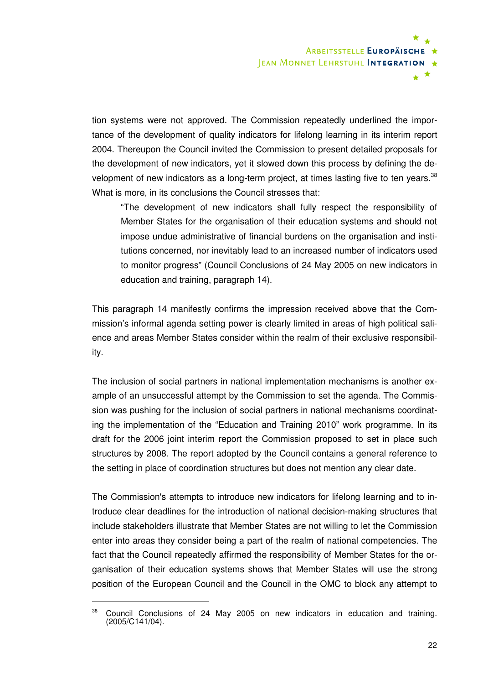

tion systems were not approved. The Commission repeatedly underlined the importance of the development of quality indicators for lifelong learning in its interim report 2004. Thereupon the Council invited the Commission to present detailed proposals for the development of new indicators, yet it slowed down this process by defining the development of new indicators as a long-term project, at times lasting five to ten years. $38$ What is more, in its conclusions the Council stresses that:

"The development of new indicators shall fully respect the responsibility of Member States for the organisation of their education systems and should not impose undue administrative of financial burdens on the organisation and institutions concerned, nor inevitably lead to an increased number of indicators used to monitor progress" (Council Conclusions of 24 May 2005 on new indicators in education and training, paragraph 14).

This paragraph 14 manifestly confirms the impression received above that the Commission's informal agenda setting power is clearly limited in areas of high political salience and areas Member States consider within the realm of their exclusive responsibility.

The inclusion of social partners in national implementation mechanisms is another example of an unsuccessful attempt by the Commission to set the agenda. The Commission was pushing for the inclusion of social partners in national mechanisms coordinating the implementation of the "Education and Training 2010" work programme. In its draft for the 2006 joint interim report the Commission proposed to set in place such structures by 2008. The report adopted by the Council contains a general reference to the setting in place of coordination structures but does not mention any clear date.

The Commission's attempts to introduce new indicators for lifelong learning and to introduce clear deadlines for the introduction of national decision-making structures that include stakeholders illustrate that Member States are not willing to let the Commission enter into areas they consider being a part of the realm of national competencies. The fact that the Council repeatedly affirmed the responsibility of Member States for the organisation of their education systems shows that Member States will use the strong position of the European Council and the Council in the OMC to block any attempt to

<sup>&</sup>lt;sup>38</sup> Council Conclusions of 24 May 2005 on new indicators in education and training. (2005/C141/04).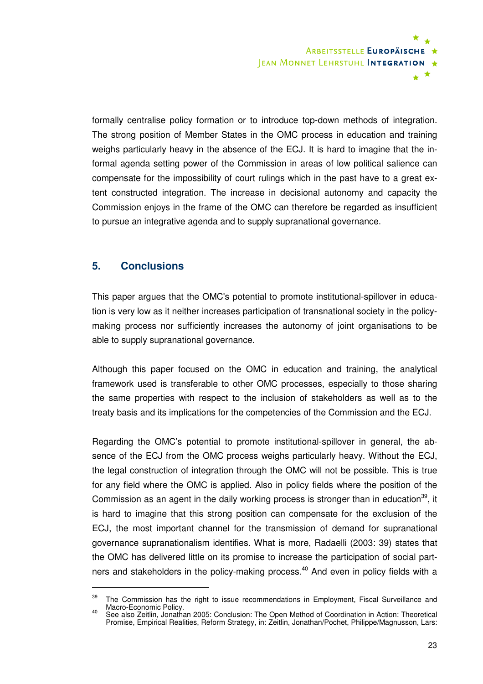

formally centralise policy formation or to introduce top-down methods of integration. The strong position of Member States in the OMC process in education and training weighs particularly heavy in the absence of the ECJ. It is hard to imagine that the informal agenda setting power of the Commission in areas of low political salience can compensate for the impossibility of court rulings which in the past have to a great extent constructed integration. The increase in decisional autonomy and capacity the Commission enjoys in the frame of the OMC can therefore be regarded as insufficient to pursue an integrative agenda and to supply supranational governance.

## **5. Conclusions**

 $\overline{a}$ 

This paper argues that the OMC's potential to promote institutional-spillover in education is very low as it neither increases participation of transnational society in the policymaking process nor sufficiently increases the autonomy of joint organisations to be able to supply supranational governance.

Although this paper focused on the OMC in education and training, the analytical framework used is transferable to other OMC processes, especially to those sharing the same properties with respect to the inclusion of stakeholders as well as to the treaty basis and its implications for the competencies of the Commission and the ECJ.

Regarding the OMC's potential to promote institutional-spillover in general, the absence of the ECJ from the OMC process weighs particularly heavy. Without the ECJ, the legal construction of integration through the OMC will not be possible. This is true for any field where the OMC is applied. Also in policy fields where the position of the Commission as an agent in the daily working process is stronger than in education<sup>39</sup>, it is hard to imagine that this strong position can compensate for the exclusion of the ECJ, the most important channel for the transmission of demand for supranational governance supranationalism identifies. What is more, Radaelli (2003: 39) states that the OMC has delivered little on its promise to increase the participation of social partners and stakeholders in the policy-making process.<sup>40</sup> And even in policy fields with a

 $39$  The Commission has the right to issue recommendations in Employment, Fiscal Surveillance and Macro-Economic Policy. <sup>40</sup> See also Zeitlin, Jonathan 2005: Conclusion: The Open Method of Coordination in Action: Theoretical

Promise, Empirical Realities, Reform Strategy, in: Zeitlin, Jonathan/Pochet, Philippe/Magnusson, Lars: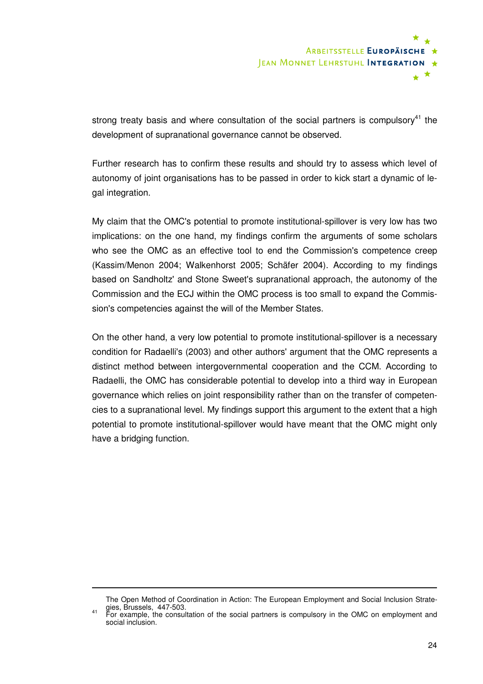

strong treaty basis and where consultation of the social partners is compulsory<sup>41</sup> the development of supranational governance cannot be observed.

Further research has to confirm these results and should try to assess which level of autonomy of joint organisations has to be passed in order to kick start a dynamic of legal integration.

My claim that the OMC's potential to promote institutional-spillover is very low has two implications: on the one hand, my findings confirm the arguments of some scholars who see the OMC as an effective tool to end the Commission's competence creep (Kassim/Menon 2004; Walkenhorst 2005; Schäfer 2004). According to my findings based on Sandholtz' and Stone Sweet's supranational approach, the autonomy of the Commission and the ECJ within the OMC process is too small to expand the Commission's competencies against the will of the Member States.

On the other hand, a very low potential to promote institutional-spillover is a necessary condition for Radaelli's (2003) and other authors' argument that the OMC represents a distinct method between intergovernmental cooperation and the CCM. According to Radaelli, the OMC has considerable potential to develop into a third way in European governance which relies on joint responsibility rather than on the transfer of competencies to a supranational level. My findings support this argument to the extent that a high potential to promote institutional-spillover would have meant that the OMC might only have a bridging function.

The Open Method of Coordination in Action: The European Employment and Social Inclusion Strateqies, Brussels, 447-503.<br><sup>41</sup> For example, the consultation of the social partners is compulsory in the OMC on employment and

social inclusion.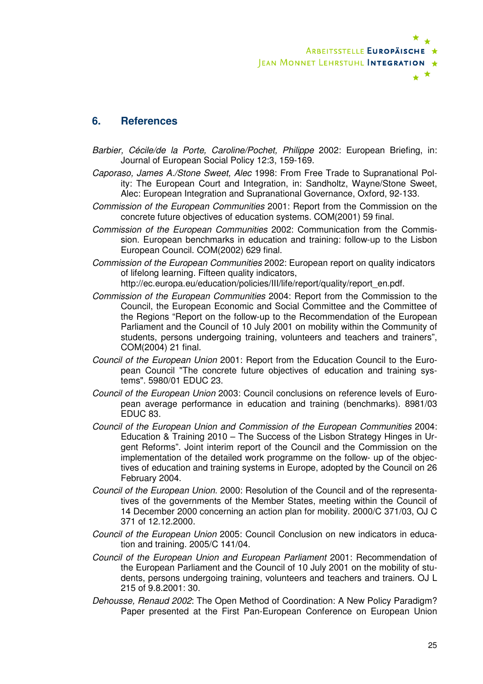

### **6. References**

- Barbier, Cécile/de la Porte, Caroline/Pochet, Philippe 2002: European Briefing, in: Journal of European Social Policy 12:3, 159-169.
- Caporaso, James A./Stone Sweet, Alec 1998: From Free Trade to Supranational Polity: The European Court and Integration, in: Sandholtz, Wayne/Stone Sweet, Alec: European Integration and Supranational Governance, Oxford, 92-133.
- Commission of the European Communities 2001: Report from the Commission on the concrete future objectives of education systems. COM(2001) 59 final.
- Commission of the European Communities 2002: Communication from the Commission. European benchmarks in education and training: follow-up to the Lisbon European Council. COM(2002) 629 final.
- Commission of the European Communities 2002: European report on quality indicators of lifelong learning. Fifteen quality indicators,

http://ec.europa.eu/education/policies/III/life/report/quality/report\_en.pdf.

- Commission of the European Communities 2004: Report from the Commission to the Council, the European Economic and Social Committee and the Committee of the Regions "Report on the follow-up to the Recommendation of the European Parliament and the Council of 10 July 2001 on mobility within the Community of students, persons undergoing training, volunteers and teachers and trainers", COM(2004) 21 final.
- Council of the European Union 2001: Report from the Education Council to the European Council "The concrete future objectives of education and training systems". 5980/01 EDUC 23.
- Council of the European Union 2003: Council conclusions on reference levels of European average performance in education and training (benchmarks). 8981/03 EDUC 83.
- Council of the European Union and Commission of the European Communities 2004: Education & Training 2010 – The Success of the Lisbon Strategy Hinges in Urgent Reforms". Joint interim report of the Council and the Commission on the implementation of the detailed work programme on the follow- up of the objectives of education and training systems in Europe, adopted by the Council on 26 February 2004.
- Council of the European Union. 2000: Resolution of the Council and of the representatives of the governments of the Member States, meeting within the Council of 14 December 2000 concerning an action plan for mobility. 2000/C 371/03, OJ C 371 of 12.12.2000.
- Council of the European Union 2005: Council Conclusion on new indicators in education and training. 2005/C 141/04.
- Council of the European Union and European Parliament 2001: Recommendation of the European Parliament and the Council of 10 July 2001 on the mobility of students, persons undergoing training, volunteers and teachers and trainers. OJ L 215 of 9.8.2001: 30.
- Dehousse, Renaud 2002: The Open Method of Coordination: A New Policy Paradigm? Paper presented at the First Pan-European Conference on European Union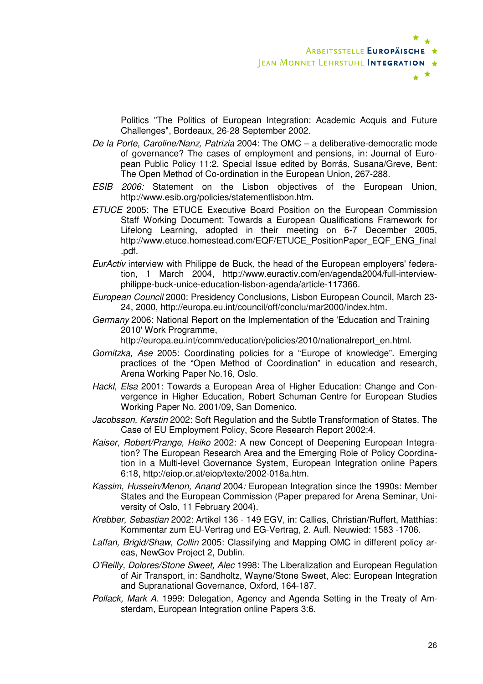Politics "The Politics of European Integration: Academic Acquis and Future Challenges", Bordeaux, 26-28 September 2002.

- De la Porte, Caroline/Nanz, Patrizia 2004: The OMC a deliberative-democratic mode of governance? The cases of employment and pensions, in: Journal of European Public Policy 11:2, Special Issue edited by Borrás, Susana/Greve, Bent: The Open Method of Co-ordination in the European Union, 267-288.
- ESIB 2006: Statement on the Lisbon objectives of the European Union, http://www.esib.org/policies/statementlisbon.htm.
- ETUCE 2005: The ETUCE Executive Board Position on the European Commission Staff Working Document: Towards a European Qualifications Framework for Lifelong Learning, adopted in their meeting on 6-7 December 2005, http://www.etuce.homestead.com/EQF/ETUCE\_PositionPaper\_EQF\_ENG\_final .pdf.
- EurActiv interview with Philippe de Buck, the head of the European employers' federation, 1 March 2004, http://www.euractiv.com/en/agenda2004/full-interviewphilippe-buck-unice-education-lisbon-agenda/article-117366.
- European Council 2000: Presidency Conclusions, Lisbon European Council, March 23- 24, 2000, http://europa.eu.int/council/off/conclu/mar2000/index.htm.
- Germany 2006: National Report on the Implementation of the 'Education and Training 2010' Work Programme,
	- http://europa.eu.int/comm/education/policies/2010/nationalreport\_en.html.
- Gornitzka, Ase 2005: Coordinating policies for a "Europe of knowledge". Emerging practices of the "Open Method of Coordination" in education and research, Arena Working Paper No.16, Oslo.
- Hackl, Elsa 2001: Towards a European Area of Higher Education: Change and Convergence in Higher Education, Robert Schuman Centre for European Studies Working Paper No. 2001/09, San Domenico.
- Jacobsson, Kerstin 2002: Soft Regulation and the Subtle Transformation of States. The Case of EU Employment Policy, Score Research Report 2002:4.
- Kaiser, Robert/Prange, Heiko 2002: A new Concept of Deepening European Integration? The European Research Area and the Emerging Role of Policy Coordination in a Multi-level Governance System, European Integration online Papers 6:18, http://eiop.or.at/eiop/texte/2002-018a.htm.
- Kassim, Hussein/Menon, Anand 2004: European Integration since the 1990s: Member States and the European Commission (Paper prepared for Arena Seminar, University of Oslo, 11 February 2004).
- Krebber, Sebastian 2002: Artikel 136 149 EGV, in: Callies, Christian/Ruffert, Matthias: Kommentar zum EU-Vertrag und EG-Vertrag, 2. Aufl. Neuwied: 1583 -1706.
- Laffan, Brigid/Shaw, Collin 2005: Classifying and Mapping OMC in different policy areas, NewGov Project 2, Dublin.
- O'Reilly, Dolores/Stone Sweet, Alec 1998: The Liberalization and European Regulation of Air Transport, in: Sandholtz, Wayne/Stone Sweet, Alec: European Integration and Supranational Governance, Oxford, 164-187.
- Pollack, Mark A. 1999: Delegation, Agency and Agenda Setting in the Treaty of Amsterdam, European Integration online Papers 3:6.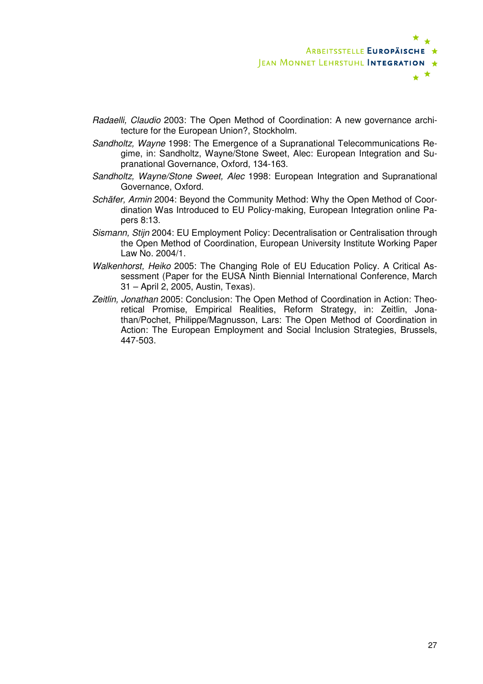

- Radaelli, Claudio 2003: The Open Method of Coordination: A new governance architecture for the European Union?, Stockholm.
- Sandholtz, Wayne 1998: The Emergence of a Supranational Telecommunications Regime, in: Sandholtz, Wayne/Stone Sweet, Alec: European Integration and Supranational Governance, Oxford, 134-163.
- Sandholtz, Wayne/Stone Sweet, Alec 1998: European Integration and Supranational Governance, Oxford.
- Schäfer, Armin 2004: Beyond the Community Method: Why the Open Method of Coordination Was Introduced to EU Policy-making, European Integration online Papers 8:13.
- Sismann, Stijn 2004: EU Employment Policy: Decentralisation or Centralisation through the Open Method of Coordination, European University Institute Working Paper Law No. 2004/1.
- Walkenhorst, Heiko 2005: The Changing Role of EU Education Policy. A Critical Assessment (Paper for the EUSA Ninth Biennial International Conference, March 31 – April 2, 2005, Austin, Texas).
- Zeitlin, Jonathan 2005: Conclusion: The Open Method of Coordination in Action: Theoretical Promise, Empirical Realities, Reform Strategy, in: Zeitlin, Jonathan/Pochet, Philippe/Magnusson, Lars: The Open Method of Coordination in Action: The European Employment and Social Inclusion Strategies, Brussels, 447-503.